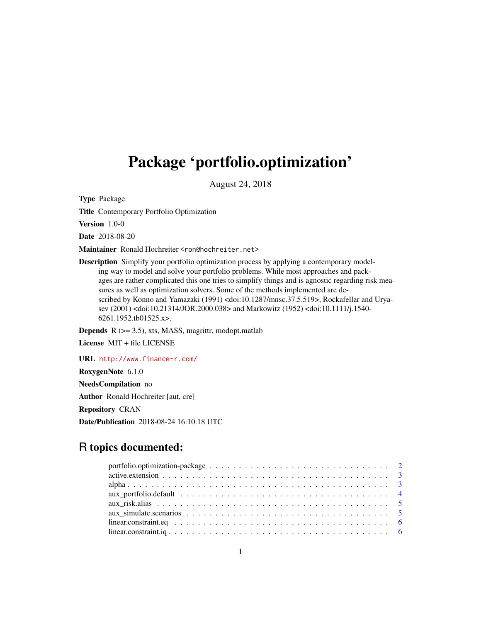# Package 'portfolio.optimization'

August 24, 2018

Type Package

Title Contemporary Portfolio Optimization

Version 1.0-0

Date 2018-08-20

Maintainer Ronald Hochreiter <ron@hochreiter.net>

Description Simplify your portfolio optimization process by applying a contemporary modeling way to model and solve your portfolio problems. While most approaches and packages are rather complicated this one tries to simplify things and is agnostic regarding risk measures as well as optimization solvers. Some of the methods implemented are described by Konno and Yamazaki (1991) <doi:10.1287/mnsc.37.5.519>, Rockafellar and Uryasev (2001) <doi:10.21314/JOR.2000.038> and Markowitz (1952) <doi:10.1111/j.1540- 6261.1952.tb01525.x>.

**Depends**  $R$  ( $>= 3.5$ ), xts, MASS, magrittr, modopt.matlab

License MIT + file LICENSE

URL <http://www.finance-r.com/> RoxygenNote 6.1.0 NeedsCompilation no Author Ronald Hochreiter [aut, cre] Repository CRAN Date/Publication 2018-08-24 16:10:18 UTC

# R topics documented: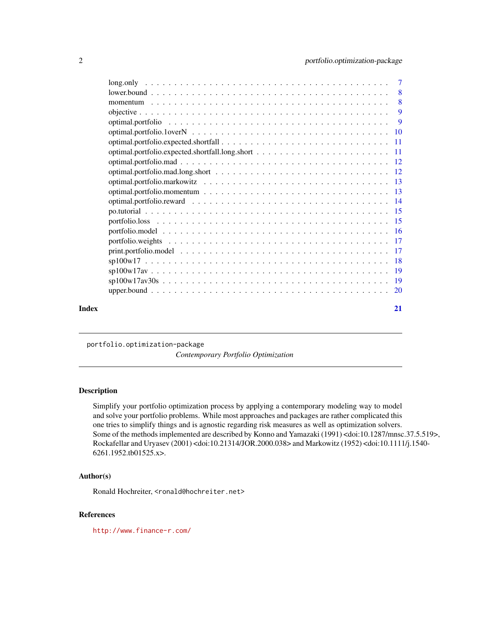<span id="page-1-0"></span>

|       | $sp100w17av30s$ 19 |    |
|-------|--------------------|----|
|       |                    |    |
| Index |                    | 21 |

portfolio.optimization-package

*Contemporary Portfolio Optimization*

#### Description

Simplify your portfolio optimization process by applying a contemporary modeling way to model and solve your portfolio problems. While most approaches and packages are rather complicated this one tries to simplify things and is agnostic regarding risk measures as well as optimization solvers. Some of the methods implemented are described by Konno and Yamazaki (1991) <doi:10.1287/mnsc.37.5.519>, Rockafellar and Uryasev (2001) <doi:10.21314/JOR.2000.038> and Markowitz (1952) <doi:10.1111/j.1540- 6261.1952.tb01525.x>.

#### Author(s)

Ronald Hochreiter, <ronald@hochreiter.net>

## References

<http://www.finance-r.com/>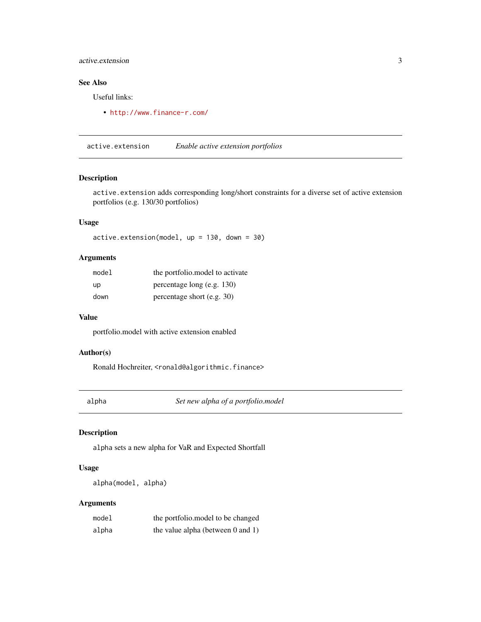#### <span id="page-2-0"></span>active.extension 3

# See Also

Useful links:

• <http://www.finance-r.com/>

active.extension *Enable active extension portfolios*

# Description

active.extension adds corresponding long/short constraints for a diverse set of active extension portfolios (e.g. 130/30 portfolios)

## Usage

active.extension(model, up = 130, down = 30)

## Arguments

| model | the portfolio.model to activate |
|-------|---------------------------------|
| up    | percentage long (e.g. $130$ )   |
| down  | percentage short (e.g. $30$ )   |

#### Value

portfolio.model with active extension enabled

#### Author(s)

Ronald Hochreiter, <ronald@algorithmic.finance>

alpha *Set new alpha of a portfolio.model*

## Description

alpha sets a new alpha for VaR and Expected Shortfall

## Usage

```
alpha(model, alpha)
```
#### Arguments

| model | the portfolio. model to be changed     |
|-------|----------------------------------------|
| alpha | the value alpha (between $0$ and $1$ ) |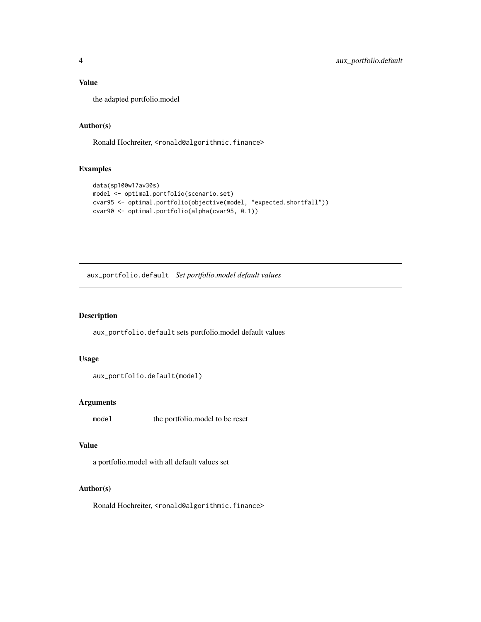# <span id="page-3-0"></span>Value

the adapted portfolio.model

## Author(s)

Ronald Hochreiter, <ronald@algorithmic.finance>

#### Examples

```
data(sp100w17av30s)
model <- optimal.portfolio(scenario.set)
cvar95 <- optimal.portfolio(objective(model, "expected.shortfall"))
cvar90 <- optimal.portfolio(alpha(cvar95, 0.1))
```
aux\_portfolio.default *Set portfolio.model default values*

#### Description

aux\_portfolio.default sets portfolio.model default values

#### Usage

```
aux_portfolio.default(model)
```
# Arguments

model the portfolio.model to be reset

#### Value

a portfolio.model with all default values set

## Author(s)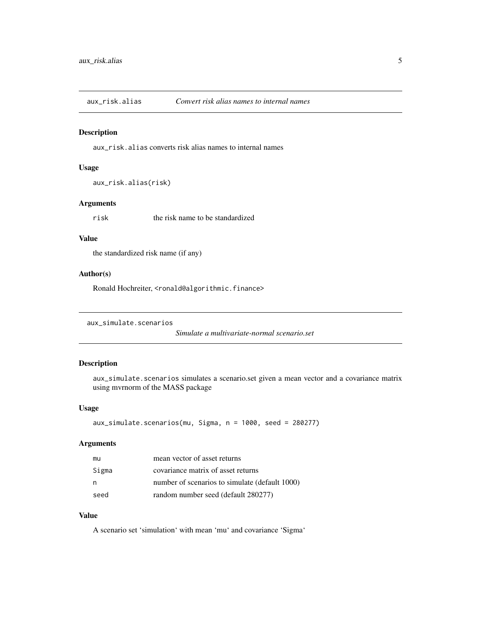<span id="page-4-0"></span>aux\_risk.alias *Convert risk alias names to internal names*

#### Description

aux\_risk.alias converts risk alias names to internal names

#### Usage

```
aux_risk.alias(risk)
```
## Arguments

risk the risk name to be standardized

#### Value

the standardized risk name (if any)

#### Author(s)

Ronald Hochreiter, <ronald@algorithmic.finance>

```
aux_simulate.scenarios
```
*Simulate a multivariate-normal scenario.set*

# Description

aux\_simulate.scenarios simulates a scenario.set given a mean vector and a covariance matrix using mvrnorm of the MASS package

#### Usage

```
aux_simulate.scenarios(mu, Sigma, n = 1000, seed = 280277)
```
#### Arguments

| mu    | mean vector of asset returns                   |
|-------|------------------------------------------------|
| Sigma | covariance matrix of asset returns             |
| n     | number of scenarios to simulate (default 1000) |
| seed  | random number seed (default 280277)            |

## Value

A scenario set 'simulation' with mean 'mu' and covariance 'Sigma'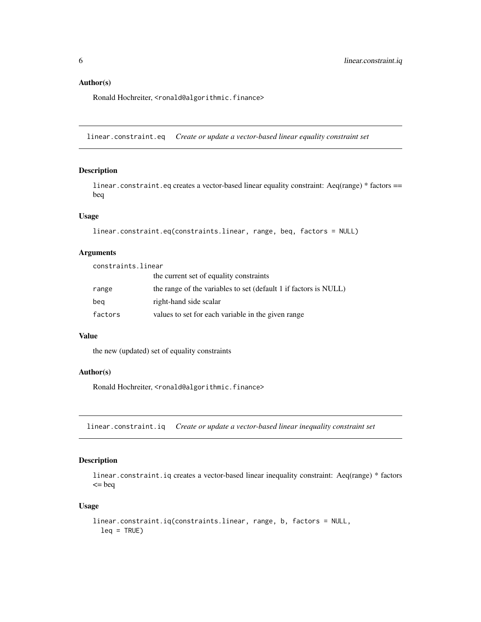#### <span id="page-5-0"></span>Author(s)

Ronald Hochreiter, <ronald@algorithmic.finance>

linear.constraint.eq *Create or update a vector-based linear equality constraint set*

## Description

linear.constraint.eq creates a vector-based linear equality constraint: Aeq(range) \* factors == beq

## Usage

```
linear.constraint.eq(constraints.linear, range, beq, factors = NULL)
```
#### Arguments

constraints.linear the current set of equality constraints range the range of the variables to set (default 1 if factors is NULL) beq right-hand side scalar factors values to set for each variable in the given range

#### Value

the new (updated) set of equality constraints

#### Author(s)

Ronald Hochreiter, <ronald@algorithmic.finance>

linear.constraint.iq *Create or update a vector-based linear inequality constraint set*

#### Description

linear.constraint.iq creates a vector-based linear inequality constraint: Aeq(range) \* factors  $=$  beq

#### Usage

```
linear.constraint.iq(constraints.linear, range, b, factors = NULL,
  leq = TRUE)
```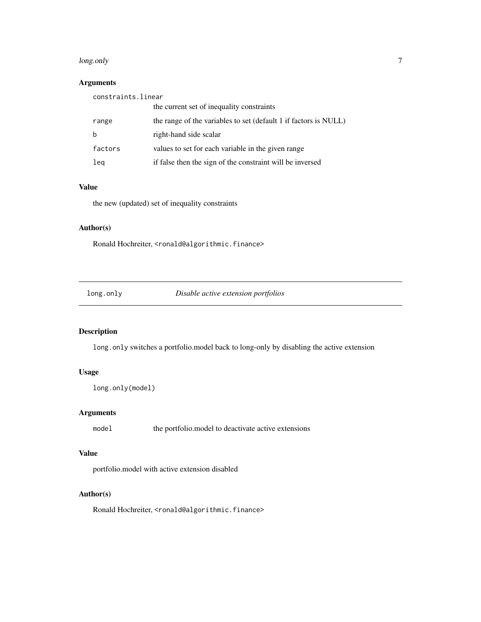#### <span id="page-6-0"></span>long.only 7 and 2008 10 minutes and 2008 10 minutes and 2008 10 minutes and 2008 10 minutes and 2008 10 minutes

# Arguments

| constraints.linear |                                                                  |  |
|--------------------|------------------------------------------------------------------|--|
|                    | the current set of inequality constraints                        |  |
| range              | the range of the variables to set (default 1 if factors is NULL) |  |
| b                  | right-hand side scalar                                           |  |
| factors            | values to set for each variable in the given range               |  |
| lea                | if false then the sign of the constraint will be inversed        |  |

## Value

the new (updated) set of inequality constraints

#### Author(s)

Ronald Hochreiter, <ronald@algorithmic.finance>

long.only *Disable active extension portfolios*

## Description

long.only switches a portfolio.model back to long-only by disabling the active extension

# Usage

```
long.only(model)
```
## Arguments

model the portfolio.model to deactivate active extensions

# Value

portfolio.model with active extension disabled

#### Author(s)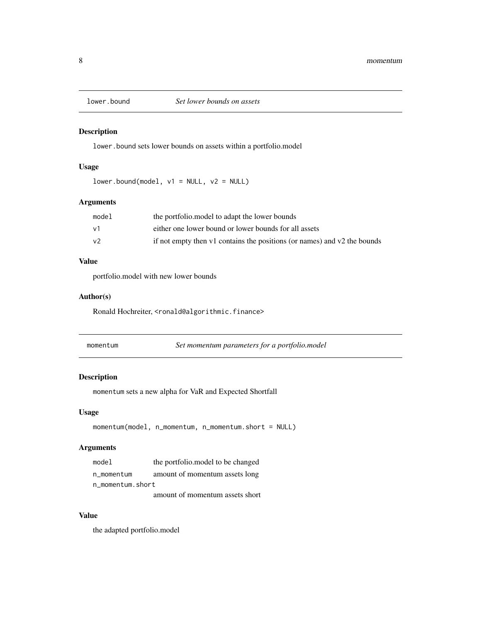<span id="page-7-0"></span>

#### Description

lower.bound sets lower bounds on assets within a portfolio.model

#### Usage

 $lower.bound(model, v1 = NULL, v2 = NULL)$ 

## Arguments

| model | the portfolio, model to adapt the lower bounds                           |
|-------|--------------------------------------------------------------------------|
| ν1    | either one lower bound or lower bounds for all assets                    |
| v2    | if not empty then v1 contains the positions (or names) and v2 the bounds |

## Value

portfolio.model with new lower bounds

## Author(s)

Ronald Hochreiter, <ronald@algorithmic.finance>

| momentum | Set momentum parameters for a portfolio.model |
|----------|-----------------------------------------------|
|----------|-----------------------------------------------|

#### Description

momentum sets a new alpha for VaR and Expected Shortfall

#### Usage

```
momentum(model, n_momentum, n_momentum.short = NULL)
```
#### Arguments

| model            | the portfolio. model to be changed |
|------------------|------------------------------------|
| n momentum       | amount of momentum assets long     |
| n momentum.short |                                    |

amount of momentum assets short

# Value

the adapted portfolio.model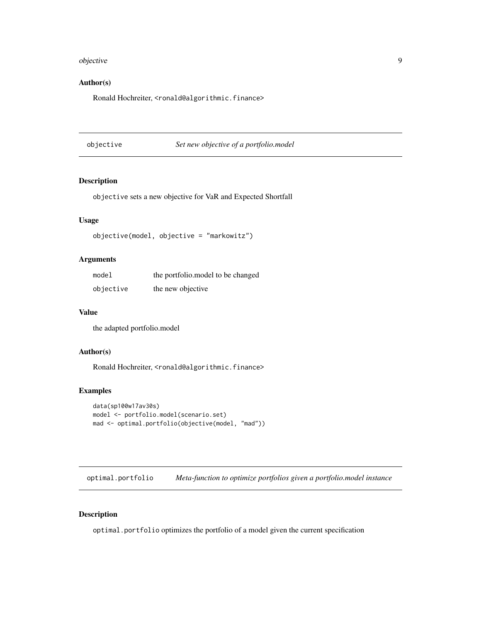#### <span id="page-8-0"></span>objective the set of the set of the set of the set of the set of the set of the set of the set of the set of th

## Author(s)

Ronald Hochreiter, <ronald@algorithmic.finance>

objective *Set new objective of a portfolio.model*

## Description

objective sets a new objective for VaR and Expected Shortfall

## Usage

objective(model, objective = "markowitz")

## Arguments

| model     | the portfolio. model to be changed |
|-----------|------------------------------------|
| objective | the new objective                  |

#### Value

the adapted portfolio.model

#### Author(s)

Ronald Hochreiter, <ronald@algorithmic.finance>

#### Examples

```
data(sp100w17av30s)
model <- portfolio.model(scenario.set)
mad <- optimal.portfolio(objective(model, "mad"))
```
optimal.portfolio *Meta-function to optimize portfolios given a portfolio.model instance*

## Description

optimal.portfolio optimizes the portfolio of a model given the current specification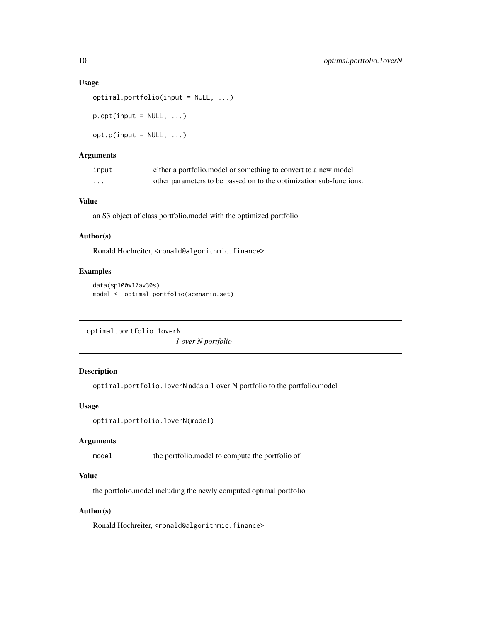#### <span id="page-9-0"></span>Usage

```
optimal.portfolio(input = NULL, ...)
p.opt(input = NULL, ...)
opt.p(input = NULL, ...)
```
# Arguments

| input    | either a portfolio, model or something to convert to a new model    |
|----------|---------------------------------------------------------------------|
| $\cdots$ | other parameters to be passed on to the optimization sub-functions. |

#### Value

an S3 object of class portfolio.model with the optimized portfolio.

#### Author(s)

Ronald Hochreiter, <ronald@algorithmic.finance>

### Examples

```
data(sp100w17av30s)
model <- optimal.portfolio(scenario.set)
```

```
optimal.portfolio.1overN
```
*1 over N portfolio*

# Description

optimal.portfolio.1overN adds a 1 over N portfolio to the portfolio.model

## Usage

```
optimal.portfolio.1overN(model)
```
## Arguments

model the portfolio.model to compute the portfolio of

## Value

the portfolio.model including the newly computed optimal portfolio

#### Author(s)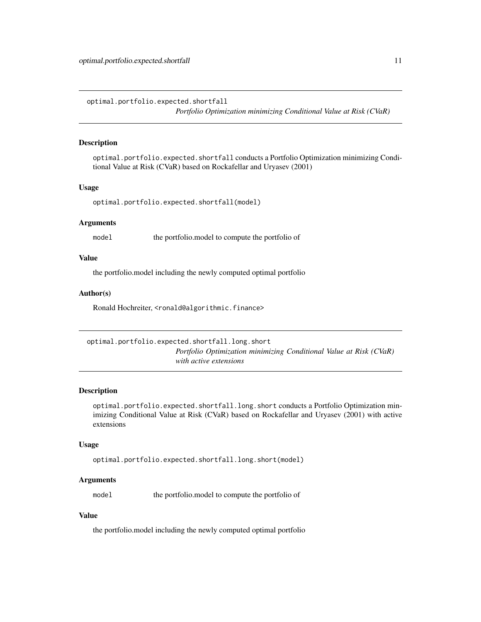<span id="page-10-0"></span>optimal.portfolio.expected.shortfall *Portfolio Optimization minimizing Conditional Value at Risk (CVaR)*

## **Description**

optimal.portfolio.expected.shortfall conducts a Portfolio Optimization minimizing Conditional Value at Risk (CVaR) based on Rockafellar and Uryasev (2001)

#### Usage

```
optimal.portfolio.expected.shortfall(model)
```
#### Arguments

model the portfolio.model to compute the portfolio of

#### Value

the portfolio.model including the newly computed optimal portfolio

#### Author(s)

Ronald Hochreiter, <ronald@algorithmic.finance>

optimal.portfolio.expected.shortfall.long.short *Portfolio Optimization minimizing Conditional Value at Risk (CVaR) with active extensions*

#### Description

optimal.portfolio.expected.shortfall.long.short conducts a Portfolio Optimization minimizing Conditional Value at Risk (CVaR) based on Rockafellar and Uryasev (2001) with active extensions

#### Usage

```
optimal.portfolio.expected.shortfall.long.short(model)
```
#### Arguments

model the portfolio.model to compute the portfolio of

## Value

the portfolio.model including the newly computed optimal portfolio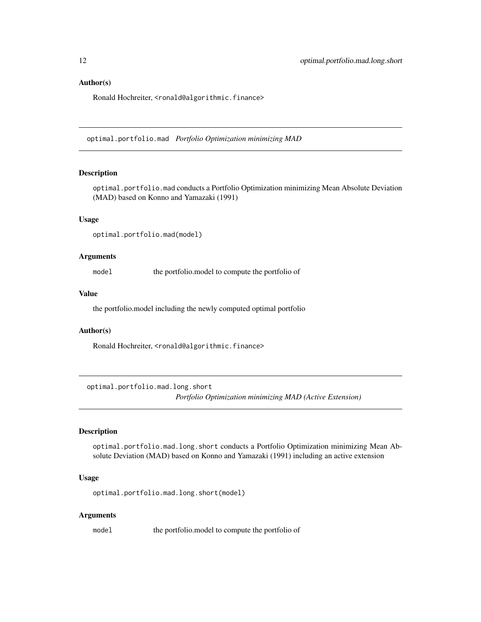#### <span id="page-11-0"></span>Author(s)

Ronald Hochreiter, <ronald@algorithmic.finance>

optimal.portfolio.mad *Portfolio Optimization minimizing MAD*

#### Description

optimal.portfolio.mad conducts a Portfolio Optimization minimizing Mean Absolute Deviation (MAD) based on Konno and Yamazaki (1991)

#### Usage

optimal.portfolio.mad(model)

#### Arguments

model the portfolio.model to compute the portfolio of

#### Value

the portfolio.model including the newly computed optimal portfolio

#### Author(s)

Ronald Hochreiter, <ronald@algorithmic.finance>

optimal.portfolio.mad.long.short *Portfolio Optimization minimizing MAD (Active Extension)*

## Description

optimal.portfolio.mad.long.short conducts a Portfolio Optimization minimizing Mean Absolute Deviation (MAD) based on Konno and Yamazaki (1991) including an active extension

#### Usage

optimal.portfolio.mad.long.short(model)

#### Arguments

model the portfolio.model to compute the portfolio of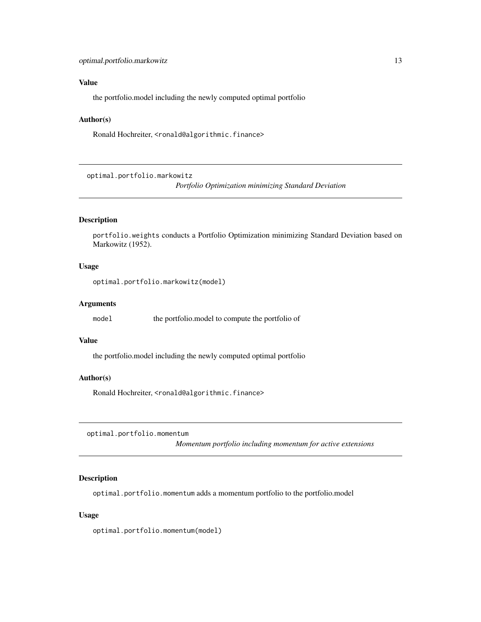#### <span id="page-12-0"></span>Value

the portfolio.model including the newly computed optimal portfolio

#### Author(s)

Ronald Hochreiter, <ronald@algorithmic.finance>

optimal.portfolio.markowitz

*Portfolio Optimization minimizing Standard Deviation*

# Description

portfolio.weights conducts a Portfolio Optimization minimizing Standard Deviation based on Markowitz (1952).

#### Usage

```
optimal.portfolio.markowitz(model)
```
## Arguments

model the portfolio.model to compute the portfolio of

## Value

the portfolio.model including the newly computed optimal portfolio

#### Author(s)

Ronald Hochreiter, <ronald@algorithmic.finance>

optimal.portfolio.momentum

*Momentum portfolio including momentum for active extensions*

#### Description

optimal.portfolio.momentum adds a momentum portfolio to the portfolio.model

#### Usage

optimal.portfolio.momentum(model)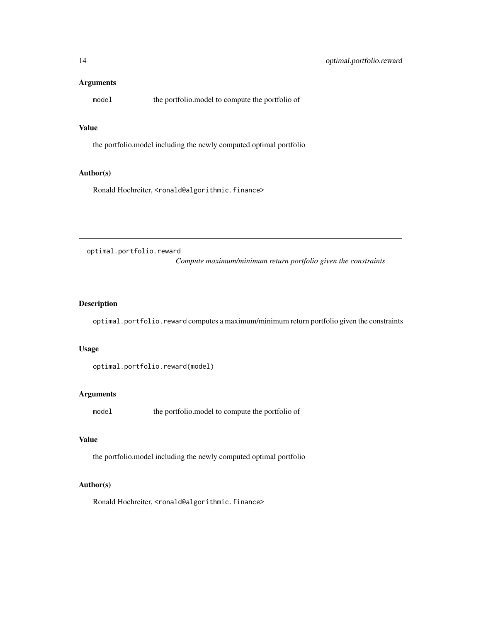## <span id="page-13-0"></span>Arguments

model the portfolio.model to compute the portfolio of

## Value

the portfolio.model including the newly computed optimal portfolio

# Author(s)

Ronald Hochreiter, <ronald@algorithmic.finance>

optimal.portfolio.reward

*Compute maximum/minimum return portfolio given the constraints*

# Description

optimal.portfolio.reward computes a maximum/minimum return portfolio given the constraints

## Usage

```
optimal.portfolio.reward(model)
```
#### Arguments

model the portfolio.model to compute the portfolio of

#### Value

the portfolio.model including the newly computed optimal portfolio

#### Author(s)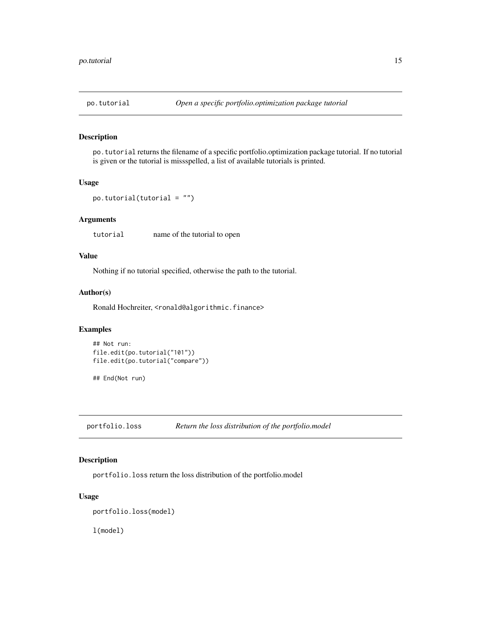<span id="page-14-0"></span>

#### Description

po.tutorial returns the filename of a specific portfolio.optimization package tutorial. If no tutorial is given or the tutorial is missspelled, a list of available tutorials is printed.

#### Usage

```
po.tutorial(tutorial = "")
```
## Arguments

tutorial name of the tutorial to open

# Value

Nothing if no tutorial specified, otherwise the path to the tutorial.

#### Author(s)

Ronald Hochreiter, <ronald@algorithmic.finance>

#### Examples

```
## Not run:
file.edit(po.tutorial("101"))
file.edit(po.tutorial("compare"))
```
## End(Not run)

portfolio.loss *Return the loss distribution of the portfolio.model*

## Description

portfolio.loss return the loss distribution of the portfolio.model

## Usage

```
portfolio.loss(model)
```
l(model)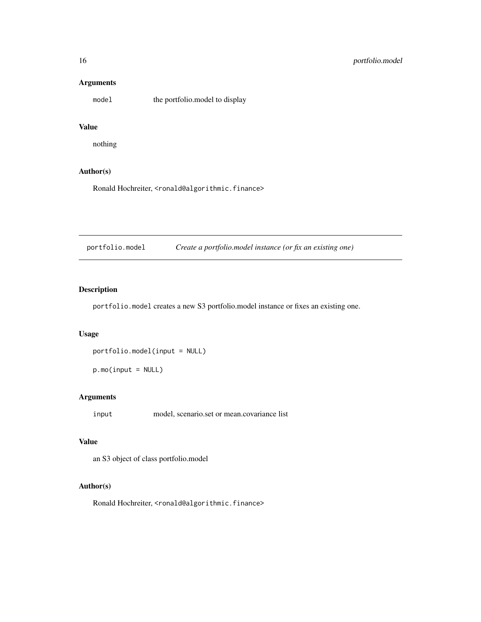## Arguments

model the portfolio.model to display

## Value

nothing

#### Author(s)

Ronald Hochreiter, <ronald@algorithmic.finance>

portfolio.model *Create a portfolio.model instance (or fix an existing one)*

# Description

portfolio.model creates a new S3 portfolio.model instance or fixes an existing one.

#### Usage

portfolio.model(input = NULL)

p.mo(input = NULL)

# Arguments

input model, scenario.set or mean.covariance list

#### Value

an S3 object of class portfolio.model

## Author(s)

<span id="page-15-0"></span>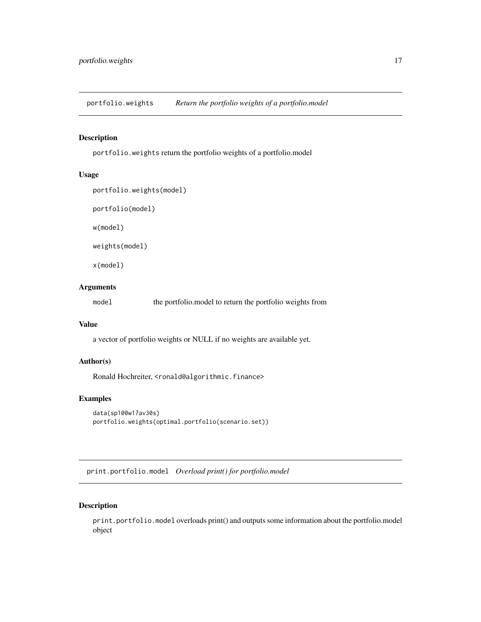<span id="page-16-0"></span>portfolio.weights *Return the portfolio weights of a portfolio.model*

## Description

portfolio.weights return the portfolio weights of a portfolio.model

## Usage

```
portfolio.weights(model)
```
portfolio(model)

w(model)

weights(model)

x(model)

#### Arguments

model the portfolio.model to return the portfolio weights from

## Value

a vector of portfolio weights or NULL if no weights are available yet.

#### Author(s)

Ronald Hochreiter, <ronald@algorithmic.finance>

## Examples

```
data(sp100w17av30s)
portfolio.weights(optimal.portfolio(scenario.set))
```
print.portfolio.model *Overload print() for portfolio.model*

## Description

print.portfolio.model overloads print() and outputs some information about the portfolio.model object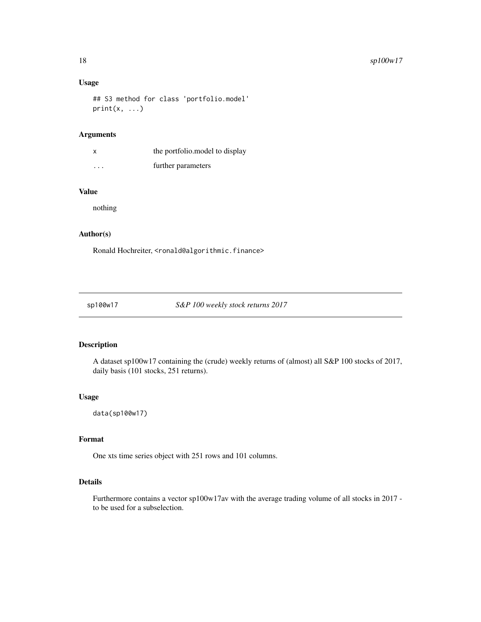## <span id="page-17-0"></span>Usage

## S3 method for class 'portfolio.model'  $print(x, \ldots)$ 

#### Arguments

|          | the portfolio. model to display |
|----------|---------------------------------|
| $\cdots$ | further parameters              |

# Value

nothing

#### Author(s)

Ronald Hochreiter, <ronald@algorithmic.finance>

sp100w17 *S&P 100 weekly stock returns 2017*

## Description

A dataset sp100w17 containing the (crude) weekly returns of (almost) all S&P 100 stocks of 2017, daily basis (101 stocks, 251 returns).

## Usage

data(sp100w17)

#### Format

One xts time series object with 251 rows and 101 columns.

## Details

Furthermore contains a vector sp100w17av with the average trading volume of all stocks in 2017 to be used for a subselection.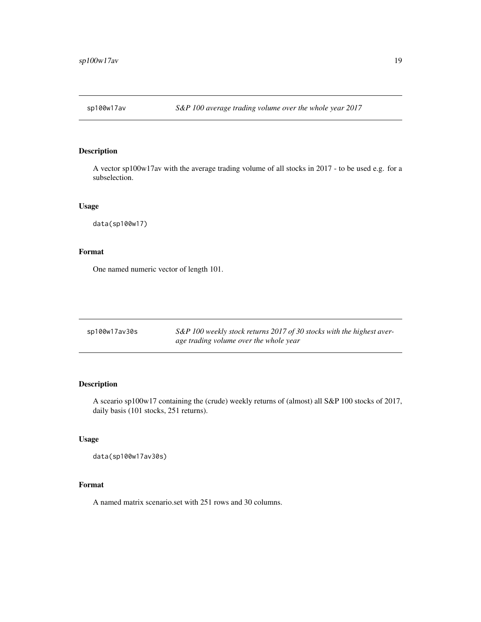<span id="page-18-0"></span>

## Description

A vector sp100w17av with the average trading volume of all stocks in 2017 - to be used e.g. for a subselection.

## Usage

data(sp100w17)

# Format

One named numeric vector of length 101.

| sp100w17av30s | S&P 100 weekly stock returns 2017 of 30 stocks with the highest aver- |
|---------------|-----------------------------------------------------------------------|
|               | age trading volume over the whole year                                |

## Description

A sceario sp100w17 containing the (crude) weekly returns of (almost) all S&P 100 stocks of 2017, daily basis (101 stocks, 251 returns).

#### Usage

```
data(sp100w17av30s)
```
## Format

A named matrix scenario.set with 251 rows and 30 columns.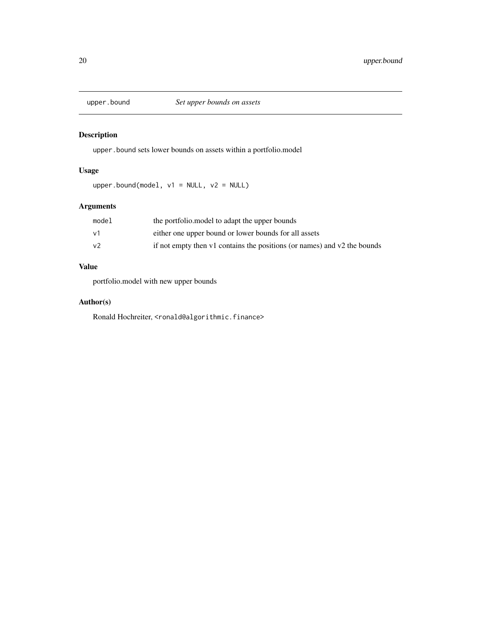<span id="page-19-0"></span>

# Description

upper.bound sets lower bounds on assets within a portfolio.model

## Usage

upper.bound(model,  $v1 = NULL$ ,  $v2 = NULL$ )

# Arguments

| model | the portfolio. model to adapt the upper bounds                           |
|-------|--------------------------------------------------------------------------|
| ν1    | either one upper bound or lower bounds for all assets                    |
| v2    | if not empty then v1 contains the positions (or names) and v2 the bounds |

# Value

portfolio.model with new upper bounds

## Author(s)